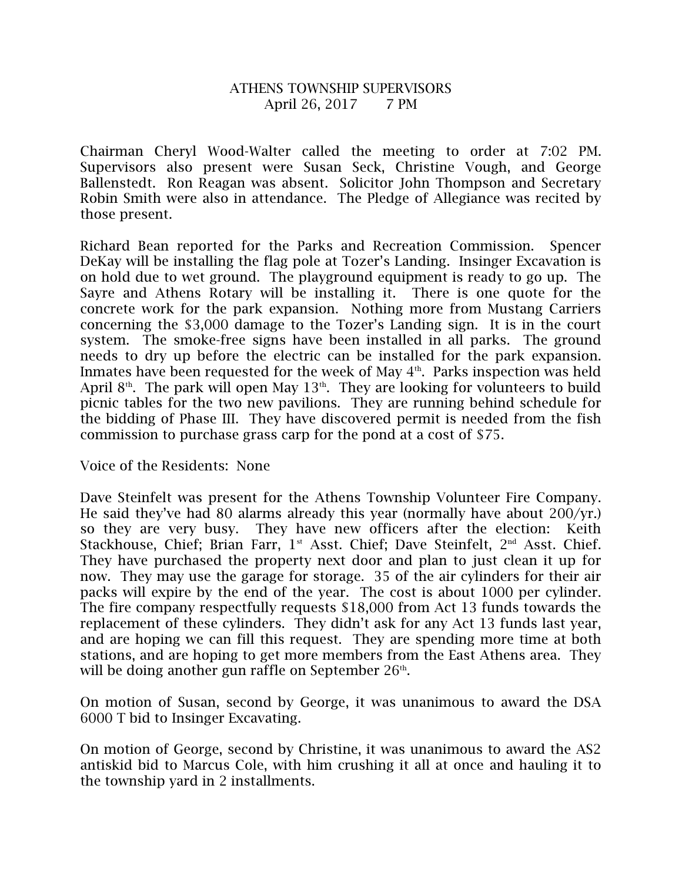## ATHENS TOWNSHIP SUPERVISORS April 26, 2017 7 PM

Chairman Cheryl Wood-Walter called the meeting to order at 7:02 PM. Supervisors also present were Susan Seck, Christine Vough, and George Ballenstedt. Ron Reagan was absent. Solicitor John Thompson and Secretary Robin Smith were also in attendance. The Pledge of Allegiance was recited by those present.

Richard Bean reported for the Parks and Recreation Commission. Spencer DeKay will be installing the flag pole at Tozer's Landing. Insinger Excavation is on hold due to wet ground. The playground equipment is ready to go up. The Sayre and Athens Rotary will be installing it. There is one quote for the concrete work for the park expansion. Nothing more from Mustang Carriers concerning the \$3,000 damage to the Tozer's Landing sign. It is in the court system. The smoke-free signs have been installed in all parks. The ground needs to dry up before the electric can be installed for the park expansion. Inmates have been requested for the week of May  $4<sup>th</sup>$ . Parks inspection was held April 8<sup>th</sup>. The park will open May 13<sup>th</sup>. They are looking for volunteers to build picnic tables for the two new pavilions. They are running behind schedule for the bidding of Phase III. They have discovered permit is needed from the fish commission to purchase grass carp for the pond at a cost of \$75.

Voice of the Residents: None

Dave Steinfelt was present for the Athens Township Volunteer Fire Company. He said they've had 80 alarms already this year (normally have about 200/yr.) so they are very busy. They have new officers after the election: Keith Stackhouse, Chief; Brian Farr,  $1<sup>st</sup>$  Asst. Chief; Dave Steinfelt,  $2<sup>nd</sup>$  Asst. Chief. They have purchased the property next door and plan to just clean it up for now. They may use the garage for storage. 35 of the air cylinders for their air packs will expire by the end of the year. The cost is about 1000 per cylinder. The fire company respectfully requests \$18,000 from Act 13 funds towards the replacement of these cylinders. They didn't ask for any Act 13 funds last year, and are hoping we can fill this request. They are spending more time at both stations, and are hoping to get more members from the East Athens area. They will be doing another gun raffle on September  $26<sup>th</sup>$ .

On motion of Susan, second by George, it was unanimous to award the DSA 6000 T bid to Insinger Excavating.

On motion of George, second by Christine, it was unanimous to award the AS2 antiskid bid to Marcus Cole, with him crushing it all at once and hauling it to the township yard in 2 installments.